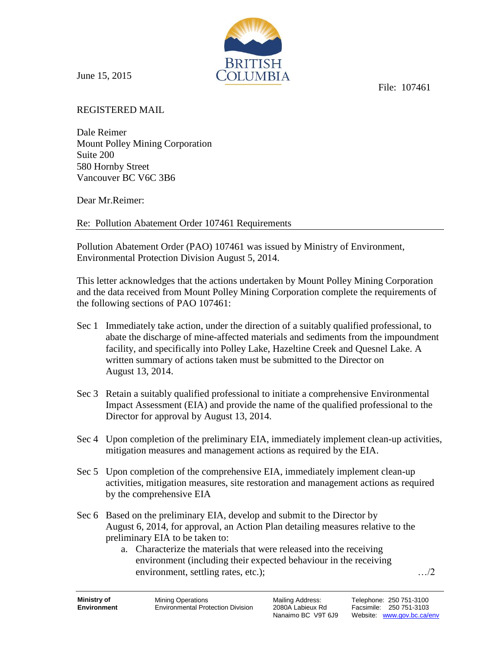File: 107461

June 15, 2015

REGISTERED MAIL

Dale Reimer Mount Polley Mining Corporation Suite 200 580 Hornby Street Vancouver BC V6C 3B6

Dear Mr.Reimer:

Re: Pollution Abatement Order 107461 Requirements

Pollution Abatement Order (PAO) 107461 was issued by Ministry of Environment, Environmental Protection Division August 5, 2014.

This letter acknowledges that the actions undertaken by Mount Polley Mining Corporation and the data received from Mount Polley Mining Corporation complete the requirements of the following sections of PAO 107461:

BRITISH DI JIMBI A

- Sec 1 Immediately take action, under the direction of a suitably qualified professional, to abate the discharge of mine-affected materials and sediments from the impoundment facility, and specifically into Polley Lake, Hazeltine Creek and Quesnel Lake. A written summary of actions taken must be submitted to the Director on August 13, 2014.
- Sec 3 Retain a suitably qualified professional to initiate a comprehensive Environmental Impact Assessment (EIA) and provide the name of the qualified professional to the Director for approval by August 13, 2014.
- Sec 4 Upon completion of the preliminary EIA, immediately implement clean-up activities, mitigation measures and management actions as required by the EIA.
- Sec 5 Upon completion of the comprehensive EIA, immediately implement clean-up activities, mitigation measures, site restoration and management actions as required by the comprehensive EIA
- Sec 6 Based on the preliminary EIA, develop and submit to the Director by August 6, 2014, for approval, an Action Plan detailing measures relative to the preliminary EIA to be taken to:
	- a. Characterize the materials that were released into the receiving environment (including their expected behaviour in the receiving environment, settling rates, etc.); …/2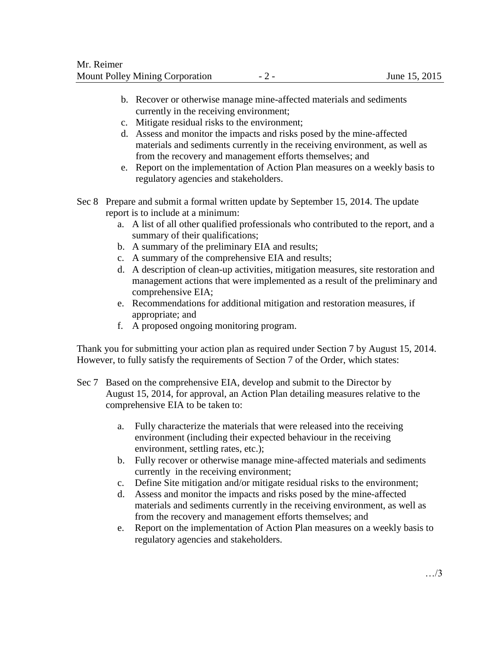- b. Recover or otherwise manage mine-affected materials and sediments currently in the receiving environment;
- c. Mitigate residual risks to the environment;
- d. Assess and monitor the impacts and risks posed by the mine-affected materials and sediments currently in the receiving environment, as well as from the recovery and management efforts themselves; and
- e. Report on the implementation of Action Plan measures on a weekly basis to regulatory agencies and stakeholders.
- Sec 8 Prepare and submit a formal written update by September 15, 2014. The update report is to include at a minimum:
	- a. A list of all other qualified professionals who contributed to the report, and a summary of their qualifications;
	- b. A summary of the preliminary EIA and results;
	- c. A summary of the comprehensive EIA and results;
	- d. A description of clean-up activities, mitigation measures, site restoration and management actions that were implemented as a result of the preliminary and comprehensive EIA;
	- e. Recommendations for additional mitigation and restoration measures, if appropriate; and
	- f. A proposed ongoing monitoring program.

Thank you for submitting your action plan as required under Section 7 by August 15, 2014. However, to fully satisfy the requirements of Section 7 of the Order, which states:

- Sec 7 Based on the comprehensive EIA, develop and submit to the Director by August 15, 2014, for approval, an Action Plan detailing measures relative to the comprehensive EIA to be taken to:
	- a. Fully characterize the materials that were released into the receiving environment (including their expected behaviour in the receiving environment, settling rates, etc.);
	- b. Fully recover or otherwise manage mine-affected materials and sediments currently in the receiving environment;
	- c. Define Site mitigation and/or mitigate residual risks to the environment;
	- d. Assess and monitor the impacts and risks posed by the mine-affected materials and sediments currently in the receiving environment, as well as from the recovery and management efforts themselves; and
	- e. Report on the implementation of Action Plan measures on a weekly basis to regulatory agencies and stakeholders.